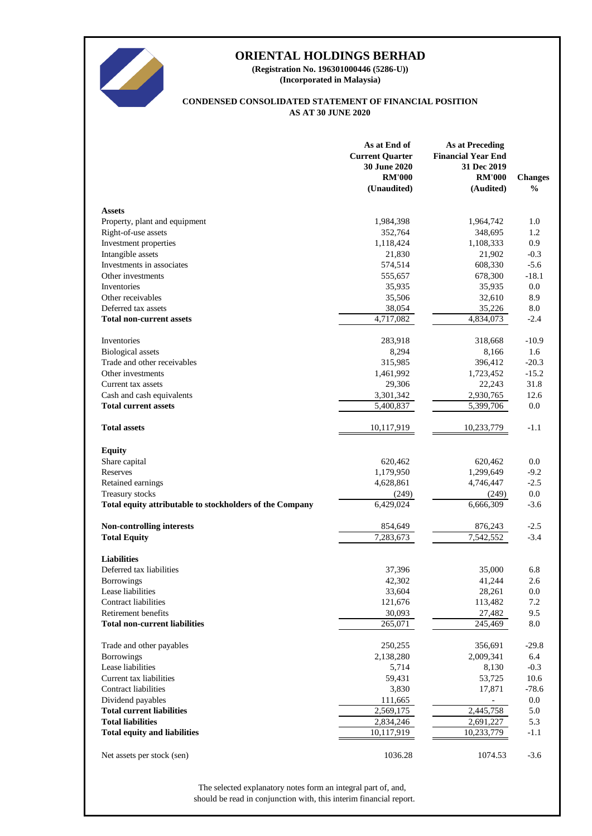

**(Incorporated in Malaysia) (Registration No. 196301000446 (5286-U))**

### **AS AT 30 JUNE 2020 CONDENSED CONSOLIDATED STATEMENT OF FINANCIAL POSITION**

|                                                          | As at End of<br><b>Current Quarter</b><br>30 June 2020<br><b>RM'000</b><br>(Unaudited) | <b>As at Preceding</b><br><b>Financial Year End</b><br>31 Dec 2019<br><b>RM'000</b><br>(Audited) | <b>Changes</b><br>$\frac{0}{0}$ |
|----------------------------------------------------------|----------------------------------------------------------------------------------------|--------------------------------------------------------------------------------------------------|---------------------------------|
| <b>Assets</b>                                            |                                                                                        |                                                                                                  |                                 |
| Property, plant and equipment                            | 1,984,398                                                                              | 1,964,742                                                                                        | 1.0                             |
| Right-of-use assets                                      | 352,764                                                                                | 348,695                                                                                          | 1.2                             |
| Investment properties                                    | 1,118,424                                                                              | 1,108,333                                                                                        | 0.9                             |
| Intangible assets                                        | 21,830                                                                                 | 21,902                                                                                           | $-0.3$                          |
| Investments in associates                                | 574,514                                                                                | 608,330                                                                                          | $-5.6$                          |
| Other investments                                        | 555,657                                                                                | 678,300                                                                                          | $-18.1$                         |
| Inventories                                              | 35,935                                                                                 | 35,935                                                                                           | 0.0                             |
| Other receivables                                        | 35,506                                                                                 | 32,610                                                                                           | 8.9                             |
| Deferred tax assets                                      | 38,054                                                                                 | 35,226                                                                                           | 8.0                             |
| <b>Total non-current assets</b>                          | 4,717,082                                                                              | 4,834,073                                                                                        | $-2.4$                          |
| Inventories                                              | 283,918                                                                                | 318,668                                                                                          | $-10.9$                         |
| <b>Biological</b> assets                                 | 8,294                                                                                  | 8,166                                                                                            | 1.6                             |
| Trade and other receivables                              | 315,985                                                                                | 396,412                                                                                          | $-20.3$                         |
| Other investments                                        | 1,461,992                                                                              | 1,723,452                                                                                        | $-15.2$                         |
| Current tax assets                                       | 29,306                                                                                 | 22,243                                                                                           | 31.8                            |
| Cash and cash equivalents                                | 3,301,342                                                                              | 2,930,765                                                                                        | 12.6                            |
| <b>Total current assets</b>                              | 5,400,837                                                                              | 5,399,706                                                                                        | 0.0                             |
| <b>Total assets</b>                                      | 10,117,919                                                                             | 10,233,779                                                                                       | $-1.1$                          |
| <b>Equity</b>                                            |                                                                                        |                                                                                                  |                                 |
| Share capital                                            | 620,462                                                                                | 620,462                                                                                          | 0.0                             |
| Reserves                                                 | 1,179,950                                                                              | 1,299,649                                                                                        | $-9.2$                          |
| Retained earnings                                        | 4,628,861                                                                              | 4,746,447                                                                                        | $-2.5$                          |
| Treasury stocks                                          | (249)                                                                                  | (249)                                                                                            | 0.0                             |
| Total equity attributable to stockholders of the Company | 6,429,024                                                                              | 6,666,309                                                                                        | $-3.6$                          |
| <b>Non-controlling interests</b>                         | 854,649                                                                                | 876,243                                                                                          | $-2.5$                          |
| <b>Total Equity</b>                                      | 7,283,673                                                                              | 7,542,552                                                                                        | $-3.4$                          |
| <b>Liabilities</b>                                       |                                                                                        |                                                                                                  |                                 |
| Deferred tax liabilities                                 | 37,396                                                                                 | 35,000                                                                                           | 6.8                             |
| <b>Borrowings</b>                                        | 42,302                                                                                 | 41,244                                                                                           | 2.6                             |
| Lease liabilities                                        | 33,604                                                                                 | 28,261                                                                                           | 0.0                             |
| <b>Contract liabilities</b>                              | 121,676                                                                                | 113,482                                                                                          | 7.2                             |
| Retirement benefits                                      | 30,093                                                                                 | 27,482                                                                                           | 9.5                             |
| <b>Total non-current liabilities</b>                     | 265,071                                                                                | 245,469                                                                                          | 8.0                             |
| Trade and other payables                                 | 250,255                                                                                | 356,691                                                                                          | $-29.8$                         |
| <b>Borrowings</b>                                        | 2,138,280                                                                              | 2,009,341                                                                                        | 6.4                             |
| Lease liabilities                                        | 5,714                                                                                  | 8,130                                                                                            | $-0.3$                          |
| Current tax liabilities                                  | 59,431                                                                                 | 53,725                                                                                           | 10.6                            |
| Contract liabilities                                     | 3,830                                                                                  | 17,871                                                                                           | $-78.6$                         |
| Dividend payables                                        | 111,665                                                                                |                                                                                                  | 0.0                             |
| <b>Total current liabilities</b>                         | 2,569,175                                                                              | 2,445,758                                                                                        | 5.0                             |
| <b>Total liabilities</b>                                 | 2,834,246                                                                              | 2,691,227                                                                                        | 5.3                             |
| <b>Total equity and liabilities</b>                      | 10,117,919                                                                             | 10,233,779                                                                                       | $-1.1$                          |
| Net assets per stock (sen)                               | 1036.28                                                                                | 1074.53                                                                                          | $-3.6$                          |

should be read in conjunction with, this interim financial report. The selected explanatory notes form an integral part of, and,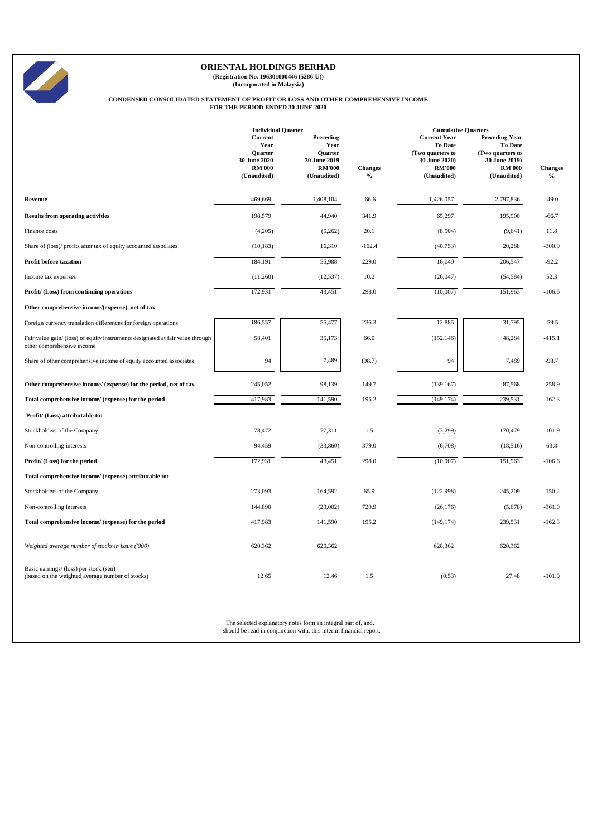

**(Registration No. 196301000446 (5286-U)) (Incorporated in Malaysia)**

# **CONDENSED CONSOLIDATED STATEMENT OF PROFIT OR LOSS AND OTHER COMPREHENSIVE INCOME FOR THE PERIOD ENDED 30 JUNE 2020**

|                                                                                                              | <b>Individual Quarter</b><br>Current<br>Year<br><b>Ouarter</b><br>30 June 2020<br><b>RM'000</b><br>(Unaudited) | Preceding<br>Year<br><b>Ouarter</b><br>30 June 2019<br><b>RM'000</b><br>(Unaudited) | <b>Changes</b><br>$\%$ | <b>Cumulative Quarters</b><br><b>Current Year</b><br><b>To Date</b><br>(Two quarters to<br>30 June 2020)<br><b>RM'000</b><br>(Unaudited) | <b>Preceding Year</b><br><b>To Date</b><br>(Two quarters to<br>30 June 2019)<br><b>RM'000</b><br>(Unaudited) | <b>Changes</b><br>$\%$ |
|--------------------------------------------------------------------------------------------------------------|----------------------------------------------------------------------------------------------------------------|-------------------------------------------------------------------------------------|------------------------|------------------------------------------------------------------------------------------------------------------------------------------|--------------------------------------------------------------------------------------------------------------|------------------------|
| Revenue                                                                                                      | 469,669                                                                                                        | 1,408,104                                                                           | $-66.6$                | 1,426,057                                                                                                                                | 2,797,836                                                                                                    | $-49.0$                |
| <b>Results from operating activities</b>                                                                     | 198,579                                                                                                        | 44,940                                                                              | 341.9                  | 65,297                                                                                                                                   | 195,900                                                                                                      | $-66.7$                |
| Finance costs                                                                                                | (4,205)                                                                                                        | (5,262)                                                                             | 20.1                   | (8,504)                                                                                                                                  | (9,641)                                                                                                      | 11.8                   |
| Share of (loss)/ profits after tax of equity accounted associates                                            | (10, 183)                                                                                                      | 16,310                                                                              | $-162.4$               | (40, 753)                                                                                                                                | 20,288                                                                                                       | $-300.9$               |
| <b>Profit before taxation</b>                                                                                | 184,191                                                                                                        | 55,988                                                                              | 229.0                  | 16,040                                                                                                                                   | 206,547                                                                                                      | $-92.2$                |
| Income tax expenses                                                                                          | (11,260)                                                                                                       | (12, 537)                                                                           | 10.2                   | (26, 047)                                                                                                                                | (54, 584)                                                                                                    | 52.3                   |
| Profit/ (Loss) from continuing operations                                                                    | 172,931                                                                                                        | 43,451                                                                              | 298.0                  | (10,007)                                                                                                                                 | 151,963                                                                                                      | $-106.6$               |
| Other comprehensive income/(expense), net of tax                                                             |                                                                                                                |                                                                                     |                        |                                                                                                                                          |                                                                                                              |                        |
| Foreign currency translation differences for foreign operations                                              | 186,557                                                                                                        | 55,477                                                                              | 236.3                  | 12,885                                                                                                                                   | 31,795                                                                                                       | $-59.5$                |
| Fair value gain/ (loss) of equity instruments designated at fair value through<br>other comprehensive income | 58,401                                                                                                         | 35,173                                                                              | 66.0                   | (152, 146)                                                                                                                               | 48,284                                                                                                       | $-415.1$               |
| Share of other comprehensive income of equity accounted associates                                           | 94                                                                                                             | 7,489                                                                               | (98.7)                 | 94                                                                                                                                       | 7,489                                                                                                        | $-98.7$                |
| Other comprehensive income/ (expense) for the period, net of tax                                             | 245,052                                                                                                        | 98,139                                                                              | 149.7                  | (139, 167)                                                                                                                               | 87,568                                                                                                       | $-258.9$               |
| Total comprehensive income/ (expense) for the period                                                         | 417,983                                                                                                        | 141,590                                                                             | 195.2                  | (149, 174)                                                                                                                               | 239,531                                                                                                      | $-162.3$               |
| Profit/(Loss) attributable to:                                                                               |                                                                                                                |                                                                                     |                        |                                                                                                                                          |                                                                                                              |                        |
| Stockholders of the Company                                                                                  | 78,472                                                                                                         | 77,311                                                                              | 1.5                    | (3,299)                                                                                                                                  | 170,479                                                                                                      | $-101.9$               |
| Non-controlling interests                                                                                    | 94,459                                                                                                         | (33, 860)                                                                           | 379.0                  | (6,708)                                                                                                                                  | (18,516)                                                                                                     | 63.8                   |
| Profit/ (Loss) for the period                                                                                | 172,931                                                                                                        | 43,451                                                                              | 298.0                  | (10,007)                                                                                                                                 | 151,963                                                                                                      | $-106.6$               |
| Total comprehensive income/ (expense) attributable to:                                                       |                                                                                                                |                                                                                     |                        |                                                                                                                                          |                                                                                                              |                        |
| Stockholders of the Company                                                                                  | 273,093                                                                                                        | 164,592                                                                             | 65.9                   | (122,998)                                                                                                                                | 245,209                                                                                                      | $-150.2$               |
| Non-controlling interests                                                                                    | 144,890                                                                                                        | (23,002)                                                                            | 729.9                  | (26, 176)                                                                                                                                | (5,678)                                                                                                      | $-361.0$               |
| Total comprehensive income/ (expense) for the period                                                         | 417,983                                                                                                        | 141,590                                                                             | 195.2                  | (149, 174)                                                                                                                               | 239,531                                                                                                      | $-162.3$               |
| Weighted average number of stocks in issue ('000)                                                            | 620,362                                                                                                        | 620,362                                                                             |                        | 620,362                                                                                                                                  | 620,362                                                                                                      |                        |
| Basic earnings/ (loss) per stock (sen)<br>(based on the weighted average number of stocks)                   | 12.65                                                                                                          | 12.46                                                                               | 1.5                    | (0.53)                                                                                                                                   | 27.48                                                                                                        | $-101.9$               |

The selected explanatory notes form an integral part of, and, should be read in conjunction with, this interim financial report.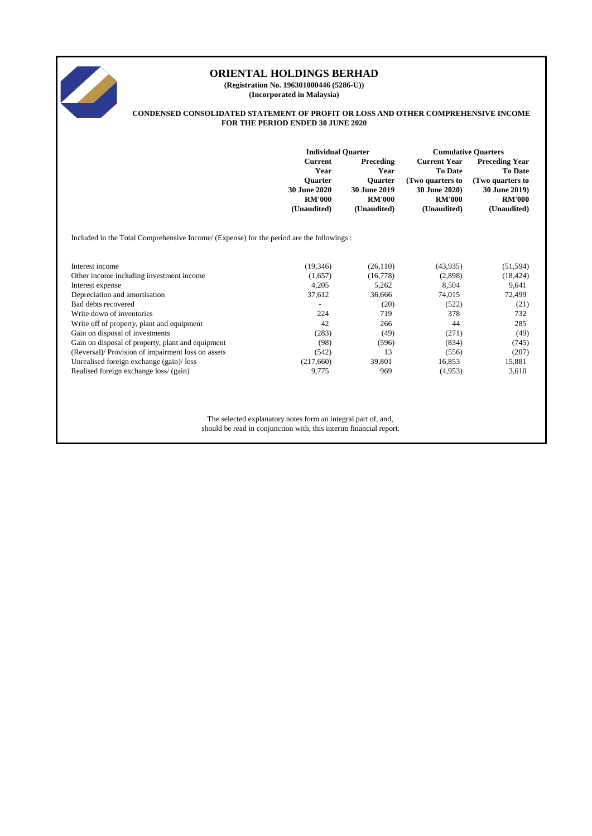

**(Registration No. 196301000446 (5286-U)) (Incorporated in Malaysia)**

#### **CONDENSED CONSOLIDATED STATEMENT OF PROFIT OR LOSS AND OTHER COMPREHENSIVE INCOME FOR THE PERIOD ENDED 30 JUNE 2020**

|                   | <b>Individual Quarter</b>                                                                             | <b>Cumulative Quarters</b>                                                                                                                                 |                                                     |  |
|-------------------|-------------------------------------------------------------------------------------------------------|------------------------------------------------------------------------------------------------------------------------------------------------------------|-----------------------------------------------------|--|
|                   | Preceding                                                                                             | <b>Current Year</b>                                                                                                                                        | <b>Preceding Year</b>                               |  |
|                   |                                                                                                       |                                                                                                                                                            | <b>To Date</b><br>(Two quarters to                  |  |
|                   |                                                                                                       |                                                                                                                                                            | 30 June 2019)                                       |  |
|                   |                                                                                                       | <b>RM'000</b>                                                                                                                                              | <b>RM'000</b>                                       |  |
|                   | (Unaudited)                                                                                           | (Unaudited)                                                                                                                                                | (Unaudited)                                         |  |
|                   |                                                                                                       |                                                                                                                                                            |                                                     |  |
| (19,346)          | (26, 110)                                                                                             | (43,935)                                                                                                                                                   | (51, 594)                                           |  |
| (1,657)           | (16,778)                                                                                              | (2,898)                                                                                                                                                    | (18, 424)                                           |  |
| 4,205             | 5,262                                                                                                 | 8,504                                                                                                                                                      | 9,641                                               |  |
| 37,612            | 36,666                                                                                                | 74,015                                                                                                                                                     | 72,499                                              |  |
| $\qquad \qquad -$ | (20)                                                                                                  | (522)                                                                                                                                                      | (21)                                                |  |
| 224               | 719                                                                                                   | 378                                                                                                                                                        | 732                                                 |  |
| 42                | 266                                                                                                   | 44                                                                                                                                                         | 285                                                 |  |
| (283)             | (49)                                                                                                  | (271)                                                                                                                                                      | (49)                                                |  |
| (98)              | (596)                                                                                                 | (834)                                                                                                                                                      | (745)                                               |  |
| (542)             | 13                                                                                                    | (556)                                                                                                                                                      | (207)                                               |  |
|                   | 39,801                                                                                                | 16,853                                                                                                                                                     | 15,881                                              |  |
| 9,775             | 969                                                                                                   | (4,953)                                                                                                                                                    | 3,610                                               |  |
|                   | <b>Current</b><br>Year<br><b>Ouarter</b><br>30 June 2020<br><b>RM'000</b><br>(Unaudited)<br>(217,660) | Year<br><b>Ouarter</b><br><b>30 June 2019</b><br><b>RM'000</b><br>Included in the Total Comprehensive Income/ (Expense) for the period are the followings: | <b>To Date</b><br>(Two quarters to<br>30 June 2020) |  |

The selected explanatory notes form an integral part of, and, should be read in conjunction with, this interim financial report.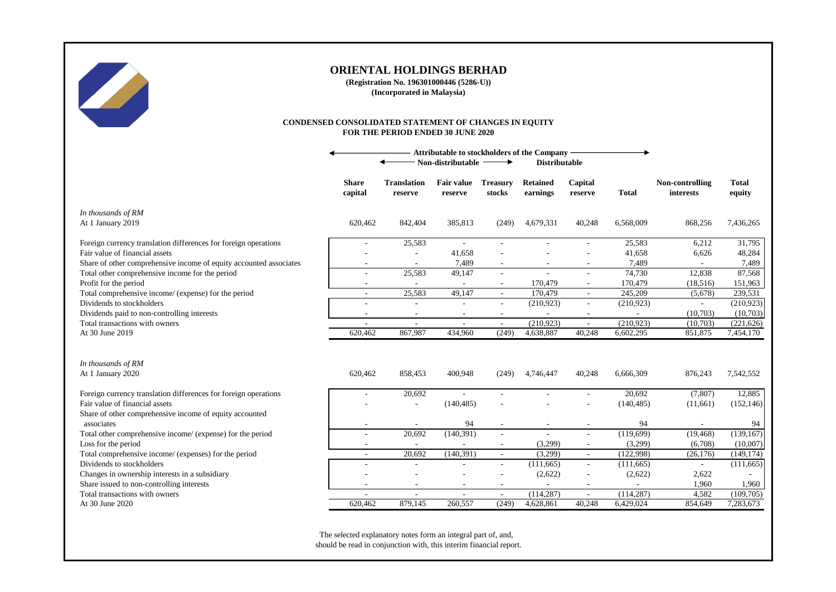

**(Registration No. 196301000446 (5286-U)) (Incorporated in Malaysia)**

#### **CONDENSED CONSOLIDATED STATEMENT OF CHANGES IN EQUITY FOR THE PERIOD ENDED 30 JUNE 2020**

|                                                                             |                                    |                               | Non-distributable            | $\rightarrow$                      | Attributable to stockholders of the Company<br><b>Distributable</b> |                          |                         |                                     |                         |
|-----------------------------------------------------------------------------|------------------------------------|-------------------------------|------------------------------|------------------------------------|---------------------------------------------------------------------|--------------------------|-------------------------|-------------------------------------|-------------------------|
|                                                                             | <b>Share</b><br>capital            | <b>Translation</b><br>reserve | <b>Fair value</b><br>reserve | <b>Treasury</b><br>stocks          | <b>Retained</b><br>earnings                                         | Capital<br>reserve       | <b>Total</b>            | Non-controlling<br><b>interests</b> | <b>Total</b><br>equity  |
| In thousands of RM<br>At 1 January 2019                                     | 620,462                            | 842,404                       | 385,813                      | (249)                              | 4,679,331                                                           | 40,248                   | 6.568.009               | 868,256                             | 7,436,265               |
| Foreign currency translation differences for foreign operations             |                                    | 25,583                        | $\sim$                       |                                    |                                                                     |                          | 25,583                  | 6,212                               | 31,795                  |
| Fair value of financial assets                                              |                                    | ٠                             | 41,658                       |                                    |                                                                     |                          | 41,658                  | 6,626                               | 48,284                  |
| Share of other comprehensive income of equity accounted associates          |                                    |                               | 7,489                        |                                    |                                                                     |                          | 7,489                   |                                     | 7,489                   |
| Total other comprehensive income for the period                             |                                    | 25,583                        | 49,147                       |                                    |                                                                     | ÷                        | 74,730                  | 12,838                              | 87,568                  |
| Profit for the period                                                       | $\sim$                             | $\sim$                        | $\overline{\phantom{a}}$     | $\sim$                             | 170,479                                                             | $\sim$                   | 170,479                 | (18,516)                            | 151,963                 |
| Total comprehensive income/ (expense) for the period                        | ÷.                                 | 25,583                        | 49,147                       | $\sim$                             | 170,479                                                             | $\sim$                   | 245,209                 | (5,678)                             | 239,531                 |
| Dividends to stockholders                                                   |                                    |                               |                              |                                    | (210, 923)                                                          | $\sim$                   | (210, 923)              |                                     | (210, 923)              |
| Dividends paid to non-controlling interests                                 | $\sim$                             | $\overline{\phantom{a}}$      | $\overline{\phantom{a}}$     | $\overline{\phantom{a}}$           | $\overline{\phantom{a}}$                                            | $\overline{\phantom{a}}$ |                         | (10,703)                            | (10,703)                |
| Total transactions with owners<br>At 30 June 2019                           | ÷.<br>620,462                      | 867,987                       | 434,960                      | $\sim$<br>(249)                    | (210, 923)<br>4,638,887                                             | $\sim$<br>40,248         | (210, 923)<br>6,602,295 | (10,703)<br>851,875                 | (221, 626)<br>7,454,170 |
| In thousands of RM<br>At 1 January 2020                                     | 620,462                            | 858,453                       | 400,948                      | (249)                              | 4,746,447                                                           | 40,248                   | 6,666,309               | 876,243                             | 7,542,552               |
|                                                                             |                                    |                               |                              |                                    |                                                                     |                          |                         |                                     |                         |
| Foreign currency translation differences for foreign operations             |                                    | 20,692                        |                              | $\sim$                             |                                                                     | $\sim$                   | 20,692                  | (7,807)                             | 12,885                  |
| Fair value of financial assets                                              |                                    | $\overline{\phantom{a}}$      | (140, 485)                   |                                    |                                                                     |                          | (140, 485)              | (11,661)                            | (152, 146)              |
| Share of other comprehensive income of equity accounted                     |                                    |                               |                              |                                    |                                                                     |                          |                         |                                     |                         |
| associates                                                                  |                                    |                               | 94                           | $\overline{\phantom{a}}$           | $\overline{\phantom{a}}$                                            |                          | 94                      |                                     | 94                      |
| Total other comprehensive income/ (expense) for the period                  | $\sim$                             | 20,692                        | (140, 391)                   |                                    | $\overline{\phantom{a}}$                                            | $\overline{\phantom{a}}$ | (119,699)               | (19, 468)                           | (139, 167)              |
| Loss for the period                                                         | $\sim$                             | $\sim$                        | $\overline{\phantom{a}}$     | $\sim$                             | (3,299)                                                             | $\overline{\phantom{a}}$ | (3,299)                 | (6,708)                             | (10,007)                |
| Total comprehensive income/ (expenses) for the period                       | $\sim$                             | 20,692                        | (140, 391)                   | $\sim$                             | (3,299)                                                             | $\sim$                   | (122,998)               | (26, 176)                           | (149, 174)              |
| Dividends to stockholders                                                   | $\sim$                             | ٠                             |                              | $\overline{\phantom{a}}$           | (111, 665)                                                          | $\sim$                   | (111, 665)              | $\overline{\phantom{a}}$            | (111,665)               |
| Changes in ownership interests in a subsidiary                              |                                    |                               |                              |                                    | (2,622)                                                             |                          | (2,622)                 | 2,622                               |                         |
| Share issued to non-controlling interests<br>Total transactions with owners | $\overline{\phantom{a}}$<br>$\sim$ | $\overline{\phantom{a}}$<br>٠ | $\sim$<br>$\sim$             | $\overline{\phantom{a}}$<br>$\sim$ | $\overline{\phantom{a}}$<br>(114, 287)                              | $\sim$<br>$\sim$         | $\sim$<br>(114, 287)    | 1,960<br>4,582                      | 1,960<br>(109,705)      |
| At 30 June 2020                                                             | 620,462                            | 879,145                       | 260,557                      | (249)                              | 4,628,861                                                           | 40,248                   | 6,429,024               | 854,649                             | 7,283,673               |
|                                                                             |                                    |                               |                              |                                    |                                                                     |                          |                         |                                     |                         |

The selected explanatory notes form an integral part of, and, should be read in conjunction with, this interim financial report.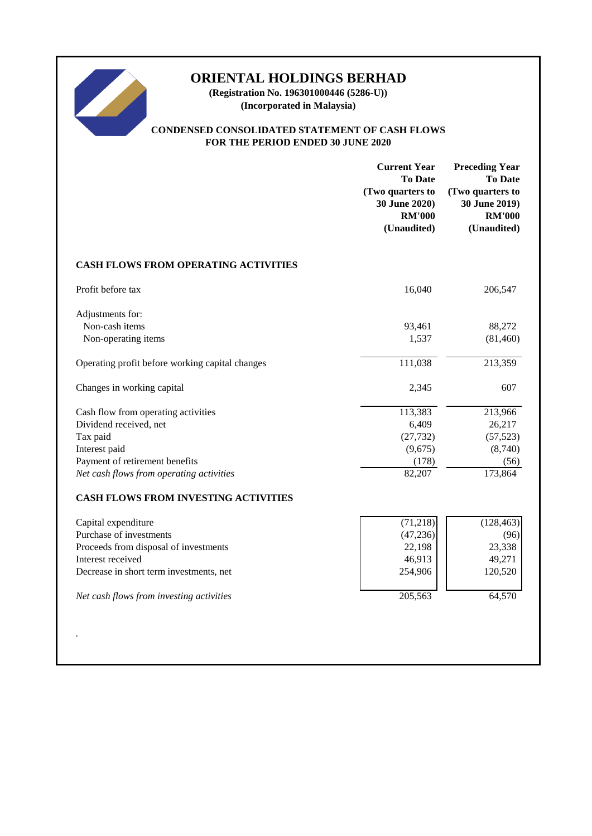

**(Registration No. 196301000446 (5286-U)) (Incorporated in Malaysia)**

# **CONDENSED CONSOLIDATED STATEMENT OF CASH FLOWS FOR THE PERIOD ENDED 30 JUNE 2020**

|                                                               | <b>Current Year</b><br><b>To Date</b><br>(Two quarters to<br>30 June 2020)<br><b>RM'000</b><br>(Unaudited) | <b>Preceding Year</b><br><b>To Date</b><br>(Two quarters to<br>30 June 2019)<br><b>RM'000</b><br>(Unaudited) |
|---------------------------------------------------------------|------------------------------------------------------------------------------------------------------------|--------------------------------------------------------------------------------------------------------------|
| <b>CASH FLOWS FROM OPERATING ACTIVITIES</b>                   |                                                                                                            |                                                                                                              |
| Profit before tax                                             | 16,040                                                                                                     | 206,547                                                                                                      |
| Adjustments for:<br>Non-cash items                            | 93,461                                                                                                     | 88,272                                                                                                       |
| Non-operating items                                           | 1,537                                                                                                      | (81, 460)                                                                                                    |
| Operating profit before working capital changes               | 111,038                                                                                                    | 213,359                                                                                                      |
| Changes in working capital                                    | 2,345                                                                                                      | 607                                                                                                          |
| Cash flow from operating activities<br>Dividend received, net | 113,383<br>6,409                                                                                           | 213,966<br>26,217                                                                                            |
| Tax paid                                                      | (27, 732)                                                                                                  | (57, 523)                                                                                                    |
| Interest paid                                                 | (9,675)                                                                                                    | (8,740)                                                                                                      |
| Payment of retirement benefits                                | (178)                                                                                                      | (56)                                                                                                         |
| Net cash flows from operating activities                      | 82,207                                                                                                     | 173,864                                                                                                      |
| CASH FLOWS FROM INVESTING ACTIVITIES                          |                                                                                                            |                                                                                                              |
| Capital expenditure                                           | (71,218)                                                                                                   | (128, 463)                                                                                                   |
| Purchase of investments                                       | (47, 236)                                                                                                  | (96)                                                                                                         |
| Proceeds from disposal of investments                         | 22,198                                                                                                     | 23,338                                                                                                       |
| Interest received                                             | 46,913                                                                                                     | 49,271                                                                                                       |
| Decrease in short term investments, net                       | 254,906                                                                                                    | 120,520                                                                                                      |
| Net cash flows from investing activities                      | 205,563                                                                                                    | 64,570                                                                                                       |
|                                                               |                                                                                                            |                                                                                                              |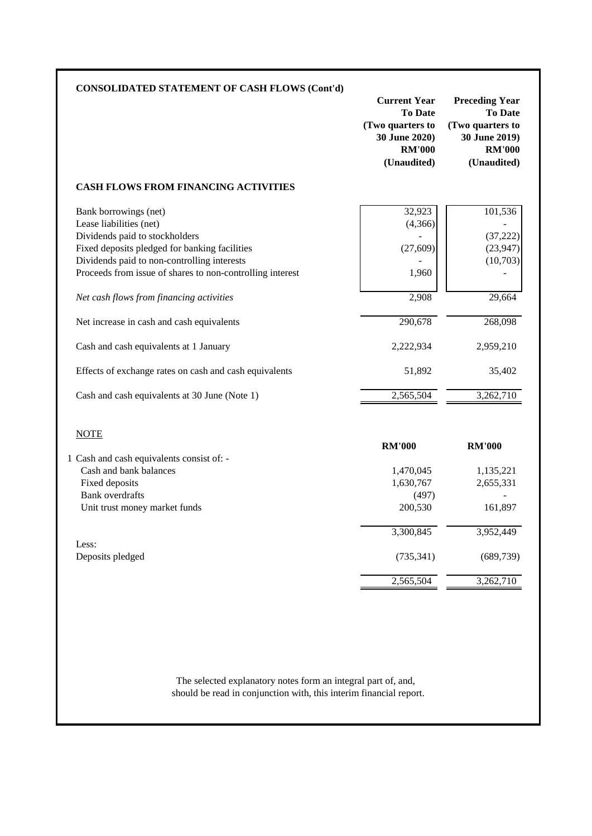|                                                                                                                                                                                    | <b>Current Year</b><br><b>To Date</b><br>(Two quarters to<br>30 June 2020)<br><b>RM'000</b><br>(Unaudited) | <b>Preceding Year</b><br><b>To Date</b><br>(Two quarters to<br>30 June 2019)<br><b>RM'000</b><br>(Unaudited) |
|------------------------------------------------------------------------------------------------------------------------------------------------------------------------------------|------------------------------------------------------------------------------------------------------------|--------------------------------------------------------------------------------------------------------------|
| <b>CASH FLOWS FROM FINANCING ACTIVITIES</b>                                                                                                                                        |                                                                                                            |                                                                                                              |
| Bank borrowings (net)<br>Lease liabilities (net)<br>Dividends paid to stockholders<br>Fixed deposits pledged for banking facilities<br>Dividends paid to non-controlling interests | 32,923<br>(4,366)<br>(27, 609)                                                                             | 101,536<br>(37, 222)<br>(23, 947)<br>(10,703)                                                                |
| Proceeds from issue of shares to non-controlling interest                                                                                                                          | 1,960                                                                                                      |                                                                                                              |
| Net cash flows from financing activities                                                                                                                                           | 2,908                                                                                                      | 29,664                                                                                                       |
| Net increase in cash and cash equivalents                                                                                                                                          | 290,678                                                                                                    | 268,098                                                                                                      |
| Cash and cash equivalents at 1 January                                                                                                                                             | 2,222,934                                                                                                  | 2,959,210                                                                                                    |
| Effects of exchange rates on cash and cash equivalents                                                                                                                             | 51,892                                                                                                     | 35,402                                                                                                       |
| Cash and cash equivalents at 30 June (Note 1)                                                                                                                                      | 2,565,504                                                                                                  | 3,262,710                                                                                                    |
| <b>NOTE</b>                                                                                                                                                                        | <b>RM'000</b>                                                                                              | <b>RM'000</b>                                                                                                |
| 1 Cash and cash equivalents consist of: -<br>Cash and bank balances                                                                                                                | 1,470,045                                                                                                  | 1,135,221                                                                                                    |
| Fixed deposits                                                                                                                                                                     | 1,630,767                                                                                                  | 2,655,331                                                                                                    |
| <b>Bank</b> overdrafts                                                                                                                                                             | (497)                                                                                                      |                                                                                                              |
| Unit trust money market funds                                                                                                                                                      | 200,530                                                                                                    | 161,897                                                                                                      |
|                                                                                                                                                                                    | 3,300,845                                                                                                  | 3,952,449                                                                                                    |
|                                                                                                                                                                                    |                                                                                                            |                                                                                                              |
| Less:<br>Deposits pledged                                                                                                                                                          | (735, 341)                                                                                                 | (689, 739)                                                                                                   |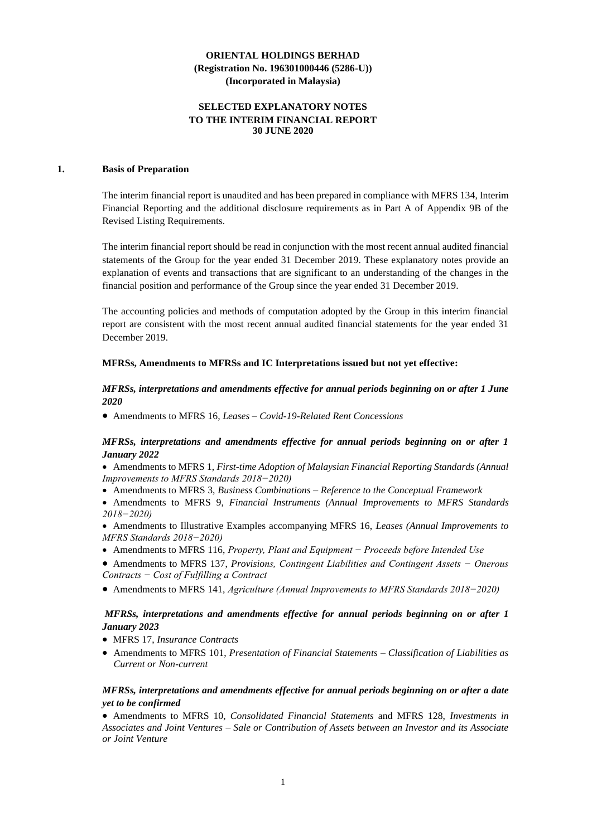### **SELECTED EXPLANATORY NOTES TO THE INTERIM FINANCIAL REPORT 30 JUNE 2020**

### **1. Basis of Preparation**

The interim financial report is unaudited and has been prepared in compliance with MFRS 134, Interim Financial Reporting and the additional disclosure requirements as in Part A of Appendix 9B of the Revised Listing Requirements.

The interim financial report should be read in conjunction with the most recent annual audited financial statements of the Group for the year ended 31 December 2019. These explanatory notes provide an explanation of events and transactions that are significant to an understanding of the changes in the financial position and performance of the Group since the year ended 31 December 2019.

The accounting policies and methods of computation adopted by the Group in this interim financial report are consistent with the most recent annual audited financial statements for the year ended 31 December 2019.

### **MFRSs, Amendments to MFRSs and IC Interpretations issued but not yet effective:**

### *MFRSs, interpretations and amendments effective for annual periods beginning on or after 1 June 2020*

• Amendments to MFRS 16*, Leases – Covid-19-Related Rent Concessions*

### *MFRSs, interpretations and amendments effective for annual periods beginning on or after 1 January 2022*

• Amendments to MFRS 1, *First-time Adoption of Malaysian Financial Reporting Standards (Annual Improvements to MFRS Standards 2018−2020)*

• Amendments to MFRS 3, *Business Combinations – Reference to the Conceptual Framework*

• Amendments to MFRS 9, *Financial Instruments (Annual Improvements to MFRS Standards 2018−2020)*

• Amendments to Illustrative Examples accompanying MFRS 16, *Leases (Annual Improvements to MFRS Standards 2018−2020)*

- Amendments to MFRS 116, *Property, Plant and Equipment − Proceeds before Intended Use*
- Amendments to MFRS 137, *Provisions, Contingent Liabilities and Contingent Assets − Onerous Contracts − Cost of Fulfilling a Contract*
- Amendments to MFRS 141, *Agriculture (Annual Improvements to MFRS Standards 2018−2020)*

# *MFRSs, interpretations and amendments effective for annual periods beginning on or after 1 January 2023*

- MFRS 17, *Insurance Contracts*
- Amendments to MFRS 101, *Presentation of Financial Statements – Classification of Liabilities as Current or Non-current*

# *MFRSs, interpretations and amendments effective for annual periods beginning on or after a date yet to be confirmed*

• Amendments to MFRS 10, *Consolidated Financial Statements* and MFRS 128, *Investments in Associates and Joint Ventures – Sale or Contribution of Assets between an Investor and its Associate or Joint Venture*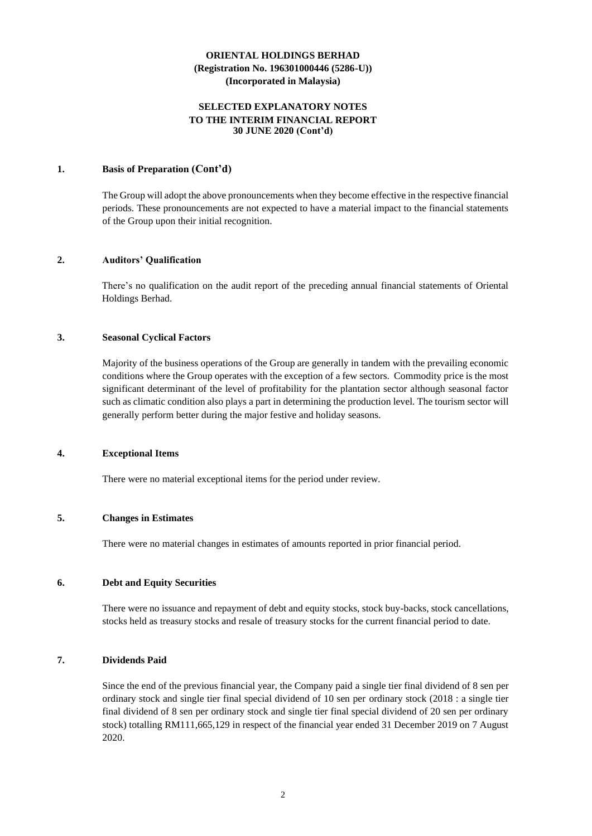# **SELECTED EXPLANATORY NOTES TO THE INTERIM FINANCIAL REPORT 30 JUNE 2020 (Cont'd)**

### **1. Basis of Preparation (Cont'd)**

The Group will adopt the above pronouncements when they become effective in the respective financial periods. These pronouncements are not expected to have a material impact to the financial statements of the Group upon their initial recognition.

### **2. Auditors' Qualification**

There's no qualification on the audit report of the preceding annual financial statements of Oriental Holdings Berhad.

### **3. Seasonal Cyclical Factors**

Majority of the business operations of the Group are generally in tandem with the prevailing economic conditions where the Group operates with the exception of a few sectors. Commodity price is the most significant determinant of the level of profitability for the plantation sector although seasonal factor such as climatic condition also plays a part in determining the production level. The tourism sector will generally perform better during the major festive and holiday seasons.

#### **4. Exceptional Items**

There were no material exceptional items for the period under review.

### **5. Changes in Estimates**

There were no material changes in estimates of amounts reported in prior financial period.

### **6. Debt and Equity Securities**

There were no issuance and repayment of debt and equity stocks, stock buy-backs, stock cancellations, stocks held as treasury stocks and resale of treasury stocks for the current financial period to date.

# **7. Dividends Paid**

Since the end of the previous financial year, the Company paid a single tier final dividend of 8 sen per ordinary stock and single tier final special dividend of 10 sen per ordinary stock (2018 : a single tier final dividend of 8 sen per ordinary stock and single tier final special dividend of 20 sen per ordinary stock) totalling RM111,665,129 in respect of the financial year ended 31 December 2019 on 7 August 2020.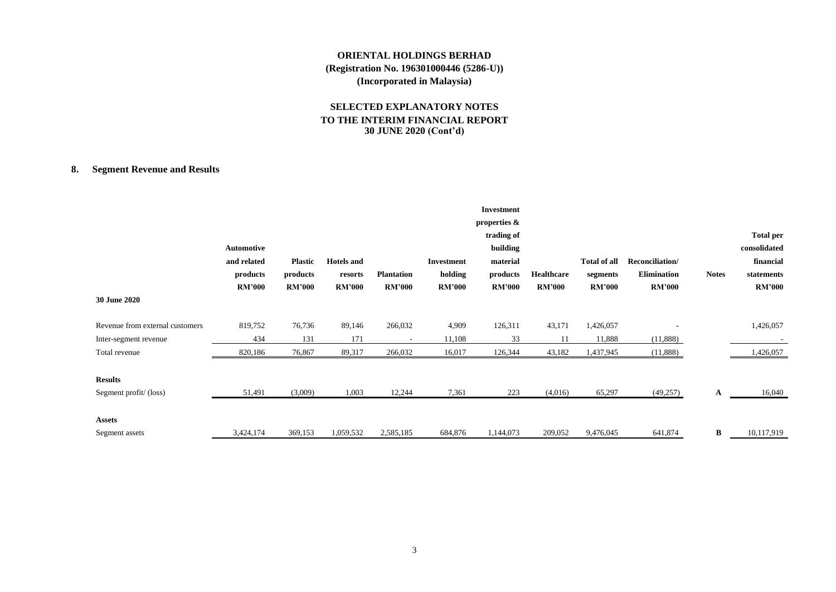# **SELECTED EXPLANATORY NOTES TO THE INTERIM FINANCIAL REPORT 30 JUNE 2020 (Cont'd)**

# **8. Segment Revenue and Results**

| <b>30 June 2020</b>             | Automotive<br>and related<br>products<br><b>RM'000</b> | <b>Plastic</b><br>products<br><b>RM'000</b> | <b>Hotels</b> and<br>resorts<br><b>RM'000</b> | <b>Plantation</b><br><b>RM'000</b> | Investment<br>holding<br><b>RM'000</b> | <b>Investment</b><br>properties &<br>trading of<br>building<br>material<br>products<br><b>RM'000</b> | Healthcare<br><b>RM'000</b> | Total of all<br>segments<br><b>RM'000</b> | Reconciliation/<br>Elimination<br><b>RM'000</b> | <b>Notes</b> | <b>Total per</b><br>consolidated<br>financial<br>statements<br><b>RM'000</b> |
|---------------------------------|--------------------------------------------------------|---------------------------------------------|-----------------------------------------------|------------------------------------|----------------------------------------|------------------------------------------------------------------------------------------------------|-----------------------------|-------------------------------------------|-------------------------------------------------|--------------|------------------------------------------------------------------------------|
| Revenue from external customers | 819,752                                                | 76,736                                      | 89,146                                        | 266,032                            | 4,909                                  | 126,311                                                                                              | 43,171                      | 1,426,057                                 |                                                 |              | 1,426,057                                                                    |
| Inter-segment revenue           | 434                                                    | 131                                         | 171                                           | $\overline{\phantom{a}}$           | 11,108                                 | 33                                                                                                   | 11                          | 11,888                                    | (11,888)                                        |              |                                                                              |
| Total revenue                   | 820,186                                                | 76,867                                      | 89,317                                        | 266,032                            | 16,017                                 | 126,344                                                                                              | 43,182                      | 1,437,945                                 | (11,888)                                        |              | 1,426,057                                                                    |
| <b>Results</b>                  |                                                        |                                             |                                               |                                    |                                        |                                                                                                      |                             |                                           |                                                 |              |                                                                              |
| Segment profit/(loss)           | 51,491                                                 | (3,009)                                     | 1,003                                         | 12,244                             | 7,361                                  | 223                                                                                                  | (4,016)                     | 65,297                                    | (49,257)                                        | A            | 16,040                                                                       |
| <b>Assets</b>                   |                                                        |                                             |                                               |                                    |                                        |                                                                                                      |                             |                                           |                                                 |              |                                                                              |
| Segment assets                  | 3,424,174                                              | 369,153                                     | 1,059,532                                     | 2,585,185                          | 684,876                                | 1,144,073                                                                                            | 209,052                     | 9,476,045                                 | 641,874                                         | B            | 10,117,919                                                                   |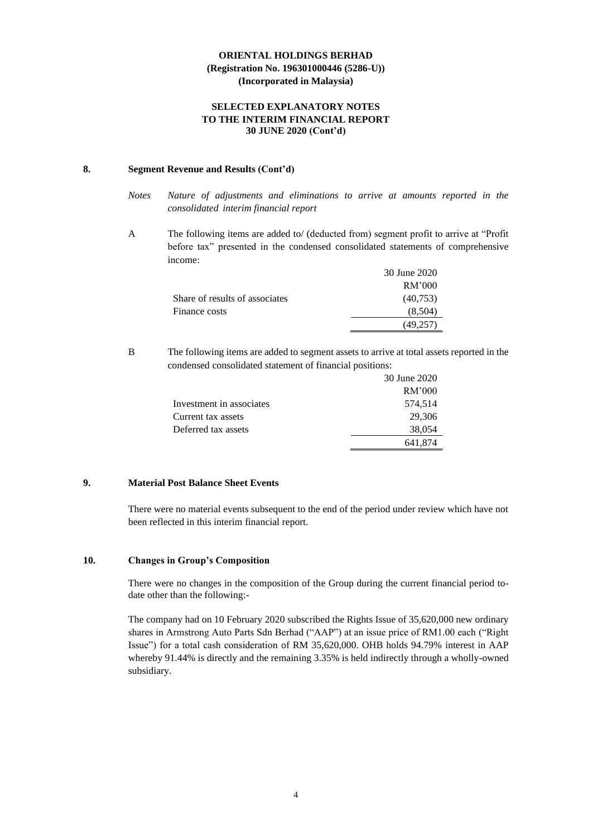### **SELECTED EXPLANATORY NOTES TO THE INTERIM FINANCIAL REPORT 30 JUNE 2020 (Cont'd)**

### **8. Segment Revenue and Results (Cont'd)**

- *Notes Nature of adjustments and eliminations to arrive at amounts reported in the consolidated interim financial report*
- A The following items are added to/ (deducted from) segment profit to arrive at "Profit before tax" presented in the condensed consolidated statements of comprehensive income:

|                                | 30 June 2020 |
|--------------------------------|--------------|
|                                | RM'000       |
| Share of results of associates | (40,753)     |
| Finance costs                  | (8,504)      |
|                                | (49.257      |

B The following items are added to segment assets to arrive at total assets reported in the condensed consolidated statement of financial positions:

|                          | 30 June 2020 |
|--------------------------|--------------|
|                          | RM'000       |
| Investment in associates | 574,514      |
| Current tax assets       | 29,306       |
| Deferred tax assets      | 38,054       |
|                          | 641,874      |

# **9. Material Post Balance Sheet Events**

There were no material events subsequent to the end of the period under review which have not been reflected in this interim financial report.

# **10. Changes in Group's Composition**

There were no changes in the composition of the Group during the current financial period todate other than the following:-

The company had on 10 February 2020 subscribed the Rights Issue of 35,620,000 new ordinary shares in Armstrong Auto Parts Sdn Berhad ("AAP") at an issue price of RM1.00 each ("Right Issue") for a total cash consideration of RM 35,620,000. OHB holds 94.79% interest in AAP whereby 91.44% is directly and the remaining 3.35% is held indirectly through a wholly-owned subsidiary.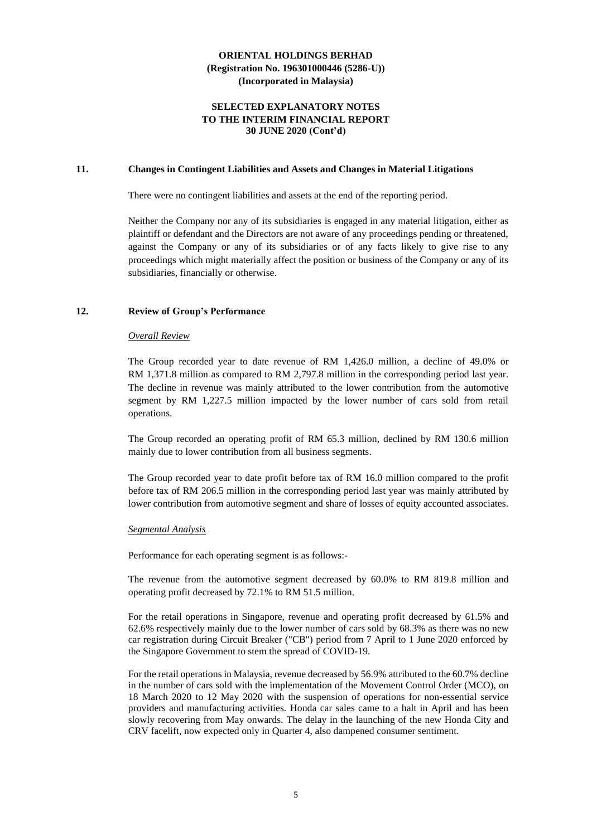### **SELECTED EXPLANATORY NOTES TO THE INTERIM FINANCIAL REPORT 30 JUNE 2020 (Cont'd)**

### **11. Changes in Contingent Liabilities and Assets and Changes in Material Litigations**

There were no contingent liabilities and assets at the end of the reporting period.

Neither the Company nor any of its subsidiaries is engaged in any material litigation, either as plaintiff or defendant and the Directors are not aware of any proceedings pending or threatened, against the Company or any of its subsidiaries or of any facts likely to give rise to any proceedings which might materially affect the position or business of the Company or any of its subsidiaries, financially or otherwise.

### **12. Review of Group's Performance**

#### *Overall Review*

The Group recorded year to date revenue of RM 1,426.0 million, a decline of 49.0% or RM 1,371.8 million as compared to RM 2,797.8 million in the corresponding period last year. The decline in revenue was mainly attributed to the lower contribution from the automotive segment by RM 1,227.5 million impacted by the lower number of cars sold from retail operations.

The Group recorded an operating profit of RM 65.3 million, declined by RM 130.6 million mainly due to lower contribution from all business segments.

The Group recorded year to date profit before tax of RM 16.0 million compared to the profit before tax of RM 206.5 million in the corresponding period last year was mainly attributed by lower contribution from automotive segment and share of losses of equity accounted associates.

#### *Segmental Analysis*

Performance for each operating segment is as follows:-

The revenue from the automotive segment decreased by 60.0% to RM 819.8 million and operating profit decreased by 72.1% to RM 51.5 million.

For the retail operations in Singapore, revenue and operating profit decreased by 61.5% and 62.6% respectively mainly due to the lower number of cars sold by 68.3% as there was no new car registration during Circuit Breaker ("CB") period from 7 April to 1 June 2020 enforced by the Singapore Government to stem the spread of COVID-19.

For the retail operations in Malaysia, revenue decreased by 56.9% attributed to the 60.7% decline in the number of cars sold with the implementation of the Movement Control Order (MCO), on 18 March 2020 to 12 May 2020 with the suspension of operations for non-essential service providers and manufacturing activities. Honda car sales came to a halt in April and has been slowly recovering from May onwards. The delay in the launching of the new Honda City and CRV facelift, now expected only in Quarter 4, also dampened consumer sentiment.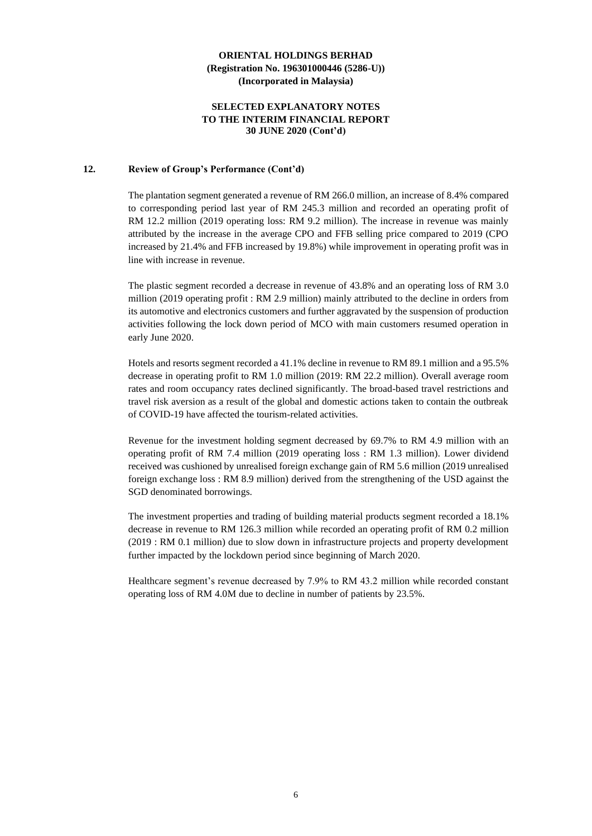### **SELECTED EXPLANATORY NOTES TO THE INTERIM FINANCIAL REPORT 30 JUNE 2020 (Cont'd)**

### **12. Review of Group's Performance (Cont'd)**

The plantation segment generated a revenue of RM 266.0 million, an increase of 8.4% compared to corresponding period last year of RM 245.3 million and recorded an operating profit of RM 12.2 million (2019 operating loss: RM 9.2 million). The increase in revenue was mainly attributed by the increase in the average CPO and FFB selling price compared to 2019 (CPO increased by 21.4% and FFB increased by 19.8%) while improvement in operating profit was in line with increase in revenue.

The plastic segment recorded a decrease in revenue of 43.8% and an operating loss of RM 3.0 million (2019 operating profit : RM 2.9 million) mainly attributed to the decline in orders from its automotive and electronics customers and further aggravated by the suspension of production activities following the lock down period of MCO with main customers resumed operation in early June 2020.

Hotels and resorts segment recorded a 41.1% decline in revenue to RM 89.1 million and a 95.5% decrease in operating profit to RM 1.0 million (2019: RM 22.2 million). Overall average room rates and room occupancy rates declined significantly. The broad-based travel restrictions and travel risk aversion as a result of the global and domestic actions taken to contain the outbreak of COVID-19 have affected the tourism-related activities.

Revenue for the investment holding segment decreased by 69.7% to RM 4.9 million with an operating profit of RM 7.4 million (2019 operating loss : RM 1.3 million). Lower dividend received was cushioned by unrealised foreign exchange gain of RM 5.6 million (2019 unrealised foreign exchange loss : RM 8.9 million) derived from the strengthening of the USD against the SGD denominated borrowings.

The investment properties and trading of building material products segment recorded a 18.1% decrease in revenue to RM 126.3 million while recorded an operating profit of RM 0.2 million (2019 : RM 0.1 million) due to slow down in infrastructure projects and property development further impacted by the lockdown period since beginning of March 2020.

Healthcare segment's revenue decreased by 7.9% to RM 43.2 million while recorded constant operating loss of RM 4.0M due to decline in number of patients by 23.5%.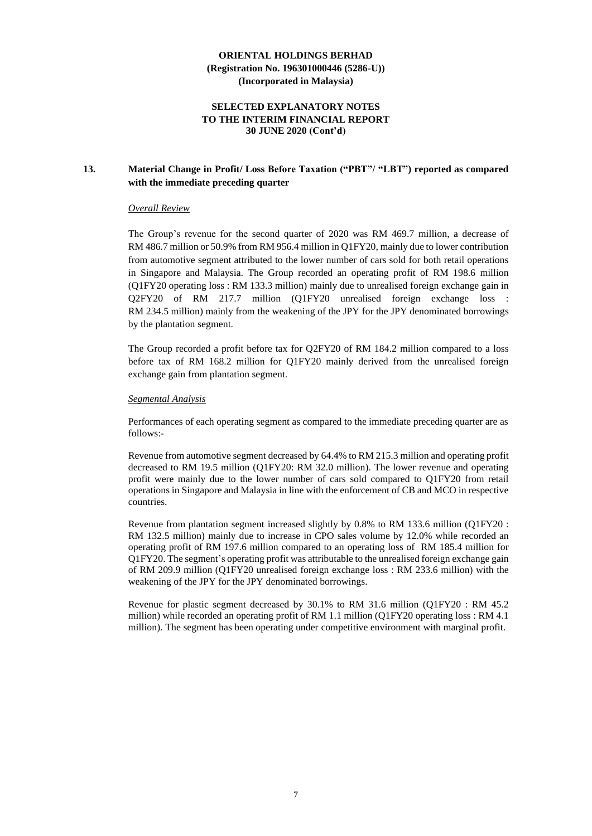### **SELECTED EXPLANATORY NOTES TO THE INTERIM FINANCIAL REPORT 30 JUNE 2020 (Cont'd)**

# **13. Material Change in Profit/ Loss Before Taxation ("PBT"/ "LBT") reported as compared with the immediate preceding quarter**

### *Overall Review*

The Group's revenue for the second quarter of 2020 was RM 469.7 million, a decrease of RM 486.7 million or 50.9% from RM 956.4 million in Q1FY20, mainly due to lower contribution from automotive segment attributed to the lower number of cars sold for both retail operations in Singapore and Malaysia. The Group recorded an operating profit of RM 198.6 million (Q1FY20 operating loss : RM 133.3 million) mainly due to unrealised foreign exchange gain in Q2FY20 of RM 217.7 million (Q1FY20 unrealised foreign exchange loss : RM 234.5 million) mainly from the weakening of the JPY for the JPY denominated borrowings by the plantation segment.

The Group recorded a profit before tax for Q2FY20 of RM 184.2 million compared to a loss before tax of RM 168.2 million for Q1FY20 mainly derived from the unrealised foreign exchange gain from plantation segment.

### *Segmental Analysis*

Performances of each operating segment as compared to the immediate preceding quarter are as follows:-

Revenue from automotive segment decreased by 64.4% to RM 215.3 million and operating profit decreased to RM 19.5 million (Q1FY20: RM 32.0 million). The lower revenue and operating profit were mainly due to the lower number of cars sold compared to Q1FY20 from retail operations in Singapore and Malaysia in line with the enforcement of CB and MCO in respective countries.

Revenue from plantation segment increased slightly by 0.8% to RM 133.6 million (Q1FY20 : RM 132.5 million) mainly due to increase in CPO sales volume by 12.0% while recorded an operating profit of RM 197.6 million compared to an operating loss of RM 185.4 million for Q1FY20. The segment's operating profit was attributable to the unrealised foreign exchange gain of RM 209.9 million (Q1FY20 unrealised foreign exchange loss : RM 233.6 million) with the weakening of the JPY for the JPY denominated borrowings.

Revenue for plastic segment decreased by 30.1% to RM 31.6 million (Q1FY20 : RM 45.2 million) while recorded an operating profit of RM 1.1 million (Q1FY20 operating loss : RM 4.1 million). The segment has been operating under competitive environment with marginal profit.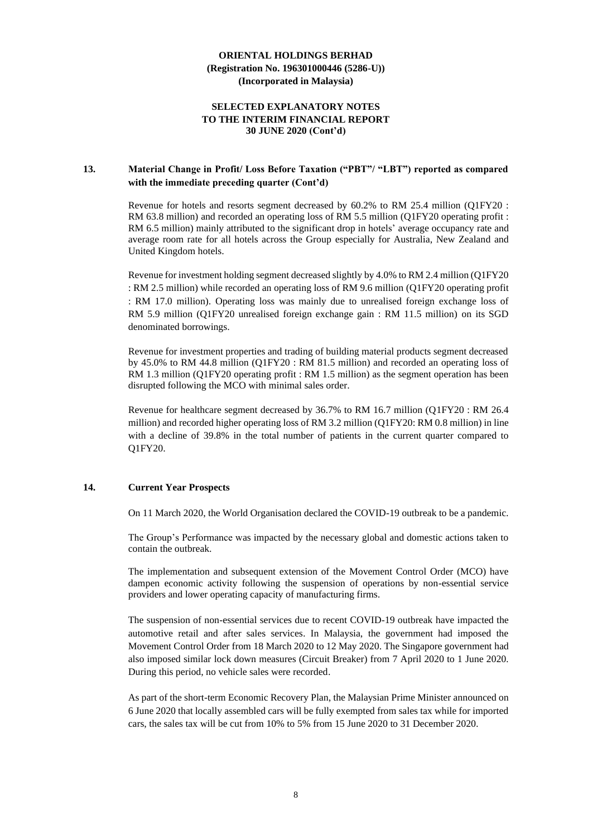### **SELECTED EXPLANATORY NOTES TO THE INTERIM FINANCIAL REPORT 30 JUNE 2020 (Cont'd)**

### **13. Material Change in Profit/ Loss Before Taxation ("PBT"/ "LBT") reported as compared with the immediate preceding quarter (Cont'd)**

Revenue for hotels and resorts segment decreased by 60.2% to RM 25.4 million (Q1FY20 : RM 63.8 million) and recorded an operating loss of RM 5.5 million (Q1FY20 operating profit : RM 6.5 million) mainly attributed to the significant drop in hotels' average occupancy rate and average room rate for all hotels across the Group especially for Australia, New Zealand and United Kingdom hotels.

Revenue for investment holding segment decreased slightly by 4.0% to RM 2.4 million (Q1FY20 : RM 2.5 million) while recorded an operating loss of RM 9.6 million (Q1FY20 operating profit : RM 17.0 million). Operating loss was mainly due to unrealised foreign exchange loss of RM 5.9 million (Q1FY20 unrealised foreign exchange gain : RM 11.5 million) on its SGD denominated borrowings.

Revenue for investment properties and trading of building material products segment decreased by 45.0% to RM 44.8 million (Q1FY20 : RM 81.5 million) and recorded an operating loss of RM 1.3 million (Q1FY20 operating profit : RM 1.5 million) as the segment operation has been disrupted following the MCO with minimal sales order.

Revenue for healthcare segment decreased by 36.7% to RM 16.7 million (Q1FY20 : RM 26.4 million) and recorded higher operating loss of RM 3.2 million (Q1FY20: RM 0.8 million) in line with a decline of 39.8% in the total number of patients in the current quarter compared to Q1FY20.

### **14. Current Year Prospects**

On 11 March 2020, the World Organisation declared the COVID-19 outbreak to be a pandemic.

The Group's Performance was impacted by the necessary global and domestic actions taken to contain the outbreak.

The implementation and subsequent extension of the Movement Control Order (MCO) have dampen economic activity following the suspension of operations by non-essential service providers and lower operating capacity of manufacturing firms.

The suspension of non-essential services due to recent COVID-19 outbreak have impacted the automotive retail and after sales services. In Malaysia, the government had imposed the Movement Control Order from 18 March 2020 to 12 May 2020. The Singapore government had also imposed similar lock down measures (Circuit Breaker) from 7 April 2020 to 1 June 2020. During this period, no vehicle sales were recorded.

As part of the short-term Economic Recovery Plan, the Malaysian Prime Minister announced on 6 June 2020 that locally assembled cars will be fully exempted from sales tax while for imported cars, the sales tax will be cut from 10% to 5% from 15 June 2020 to 31 December 2020.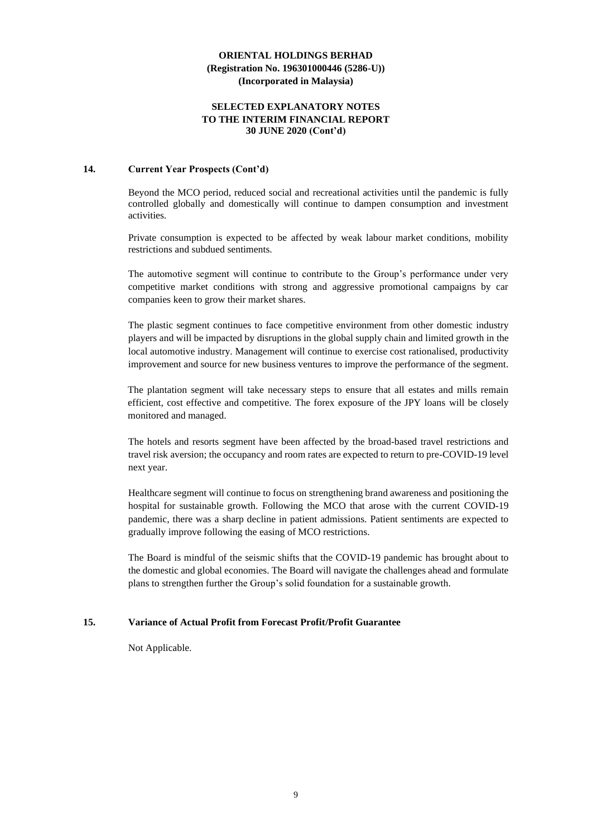### **SELECTED EXPLANATORY NOTES TO THE INTERIM FINANCIAL REPORT 30 JUNE 2020 (Cont'd)**

### **14. Current Year Prospects (Cont'd)**

Beyond the MCO period, reduced social and recreational activities until the pandemic is fully controlled globally and domestically will continue to dampen consumption and investment activities.

Private consumption is expected to be affected by weak labour market conditions, mobility restrictions and subdued sentiments.

The automotive segment will continue to contribute to the Group's performance under very competitive market conditions with strong and aggressive promotional campaigns by car companies keen to grow their market shares.

The plastic segment continues to face competitive environment from other domestic industry players and will be impacted by disruptions in the global supply chain and limited growth in the local automotive industry. Management will continue to exercise cost rationalised, productivity improvement and source for new business ventures to improve the performance of the segment.

The plantation segment will take necessary steps to ensure that all estates and mills remain efficient, cost effective and competitive. The forex exposure of the JPY loans will be closely monitored and managed.

The hotels and resorts segment have been affected by the broad-based travel restrictions and travel risk aversion; the occupancy and room rates are expected to return to pre-COVID-19 level next year.

Healthcare segment will continue to focus on strengthening brand awareness and positioning the hospital for sustainable growth. Following the MCO that arose with the current COVID-19 pandemic, there was a sharp decline in patient admissions. Patient sentiments are expected to gradually improve following the easing of MCO restrictions.

The Board is mindful of the seismic shifts that the COVID-19 pandemic has brought about to the domestic and global economies. The Board will navigate the challenges ahead and formulate plans to strengthen further the Group's solid foundation for a sustainable growth.

### **15. Variance of Actual Profit from Forecast Profit/Profit Guarantee**

Not Applicable.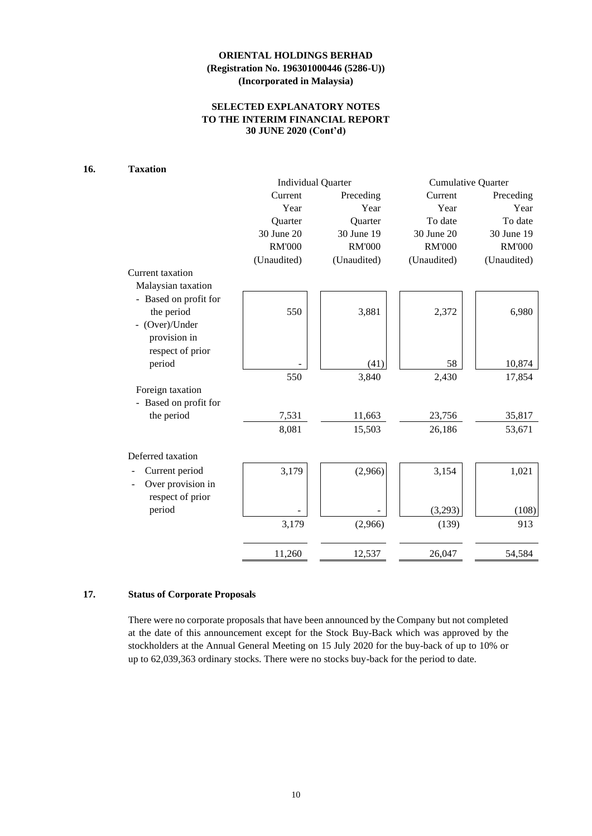# **SELECTED EXPLANATORY NOTES TO THE INTERIM FINANCIAL REPORT 30 JUNE 2020 (Cont'd)**

### **16. Taxation**

|               |               | <b>Cumulative Quarter</b>            |                  |  |
|---------------|---------------|--------------------------------------|------------------|--|
| Current       | Preceding     | Current                              | Preceding        |  |
| Year          | Year          | Year                                 | Year             |  |
| Quarter       | Quarter       | To date                              | To date          |  |
| 30 June 20    | 30 June 19    | 30 June 20                           | 30 June 19       |  |
| <b>RM'000</b> | <b>RM'000</b> | <b>RM'000</b>                        | <b>RM'000</b>    |  |
| (Unaudited)   | (Unaudited)   | (Unaudited)                          | (Unaudited)      |  |
|               |               |                                      |                  |  |
|               |               |                                      |                  |  |
|               |               |                                      |                  |  |
| 550           | 3,881         | 2,372                                | 6,980            |  |
|               |               |                                      |                  |  |
|               |               |                                      |                  |  |
|               |               |                                      |                  |  |
|               | (41)          | 58                                   | 10,874           |  |
| 550           | 3,840         | 2,430                                | 17,854           |  |
|               |               |                                      |                  |  |
|               |               |                                      |                  |  |
| 7,531         | 11,663        | 23,756                               | 35,817           |  |
| 8,081         | 15,503        | 26,186                               | 53,671           |  |
|               |               |                                      |                  |  |
|               |               |                                      | 1,021            |  |
|               |               |                                      |                  |  |
|               |               |                                      |                  |  |
|               |               |                                      | (108)            |  |
| 3,179         | (2,966)       | (139)                                | 913              |  |
| 11,260        | 12,537        | 26,047                               | 54,584           |  |
|               | 3,179         | <b>Individual Quarter</b><br>(2,966) | 3,154<br>(3,293) |  |

# **17. Status of Corporate Proposals**

There were no corporate proposals that have been announced by the Company but not completed at the date of this announcement except for the Stock Buy-Back which was approved by the stockholders at the Annual General Meeting on 15 July 2020 for the buy-back of up to 10% or up to 62,039,363 ordinary stocks. There were no stocks buy-back for the period to date.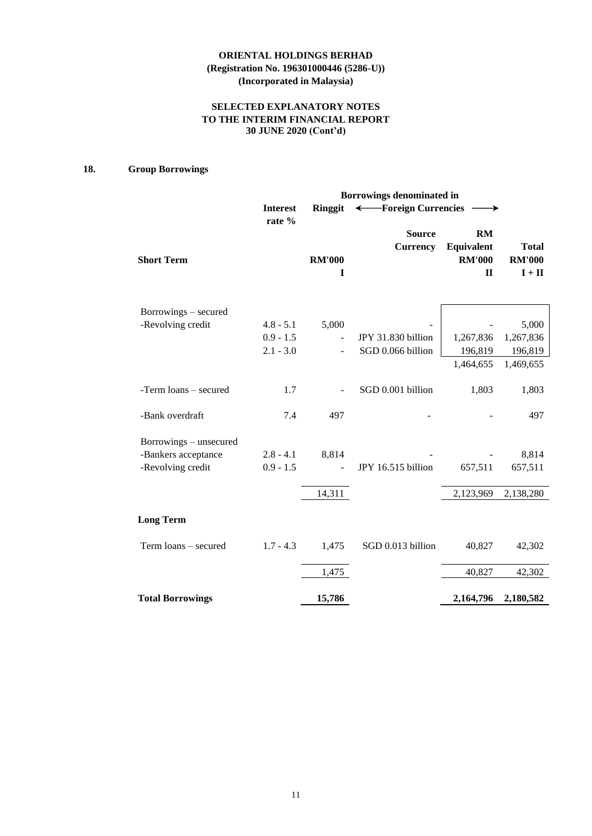# **SELECTED EXPLANATORY NOTES TO THE INTERIM FINANCIAL REPORT 30 JUNE 2020 (Cont'd)**

# **18. Group Borrowings**

|                         | Borrowings denominated in |                    |                                  |                                                          |                                           |  |  |  |
|-------------------------|---------------------------|--------------------|----------------------------------|----------------------------------------------------------|-------------------------------------------|--|--|--|
|                         | <b>Interest</b><br>rate % | <b>Ringgit</b>     | ← Foreign Currencies             |                                                          |                                           |  |  |  |
| <b>Short Term</b>       |                           | <b>RM'000</b><br>I | <b>Source</b><br><b>Currency</b> | <b>RM</b><br>Equivalent<br><b>RM'000</b><br>$\mathbf{I}$ | <b>Total</b><br><b>RM'000</b><br>$I + II$ |  |  |  |
| Borrowings – secured    |                           |                    |                                  |                                                          |                                           |  |  |  |
| -Revolving credit       | $4.8 - 5.1$               | 5,000              |                                  |                                                          | 5,000                                     |  |  |  |
|                         | $0.9 - 1.5$               |                    | JPY 31.830 billion               | 1,267,836                                                | 1,267,836                                 |  |  |  |
|                         | $2.1 - 3.0$               |                    | SGD 0.066 billion                | 196,819                                                  | 196,819                                   |  |  |  |
|                         |                           |                    |                                  | 1,464,655                                                | 1,469,655                                 |  |  |  |
| -Term loans - secured   | 1.7                       |                    | SGD 0.001 billion                | 1,803                                                    | 1,803                                     |  |  |  |
| -Bank overdraft         | 7.4                       | 497                |                                  |                                                          | 497                                       |  |  |  |
| Borrowings – unsecured  |                           |                    |                                  |                                                          |                                           |  |  |  |
| -Bankers acceptance     | $2.8 - 4.1$               | 8,814              |                                  |                                                          | 8,814                                     |  |  |  |
| -Revolving credit       | $0.9 - 1.5$               |                    | JPY 16.515 billion               | 657,511                                                  | 657,511                                   |  |  |  |
|                         |                           | 14,311             |                                  | 2,123,969                                                | 2,138,280                                 |  |  |  |
| <b>Long Term</b>        |                           |                    |                                  |                                                          |                                           |  |  |  |
| Term loans - secured    | $1.7 - 4.3$               | 1,475              | SGD 0.013 billion                | 40,827                                                   | 42,302                                    |  |  |  |
|                         |                           | 1,475              |                                  | 40,827                                                   | 42,302                                    |  |  |  |
| <b>Total Borrowings</b> |                           | 15,786             |                                  | 2,164,796                                                | 2,180,582                                 |  |  |  |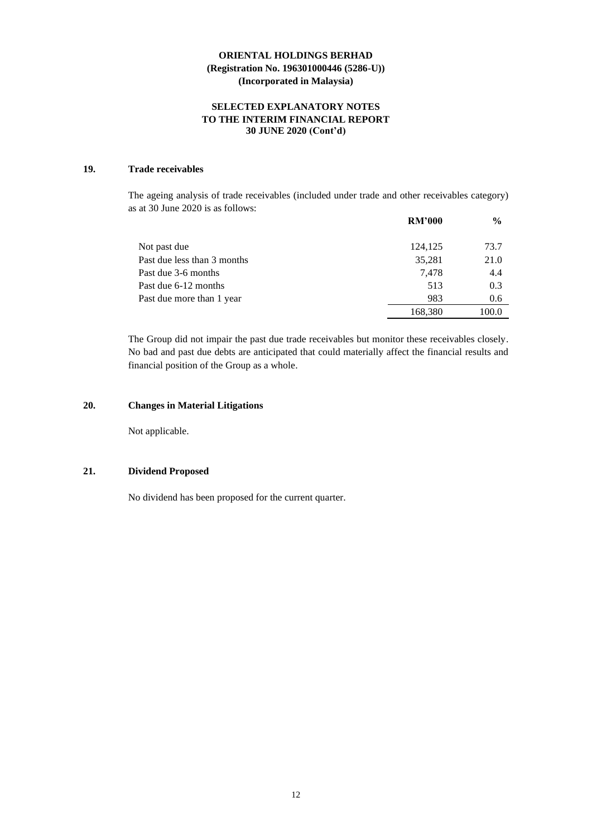# **SELECTED EXPLANATORY NOTES TO THE INTERIM FINANCIAL REPORT 30 JUNE 2020 (Cont'd)**

# **19. Trade receivables**

The ageing analysis of trade receivables (included under trade and other receivables category) as at 30 June 2020 is as follows:

|                             | <b>RM'000</b> | $\frac{6}{9}$ |
|-----------------------------|---------------|---------------|
| Not past due                | 124,125       | 73.7          |
| Past due less than 3 months | 35,281        | 21.0          |
| Past due 3-6 months         | 7.478         | 4.4           |
| Past due 6-12 months        | 513           | 0.3           |
| Past due more than 1 year   | 983           | 0.6           |
|                             | 168,380       | 100.0         |

The Group did not impair the past due trade receivables but monitor these receivables closely. No bad and past due debts are anticipated that could materially affect the financial results and financial position of the Group as a whole.

# **20. Changes in Material Litigations**

Not applicable.

### **21. Dividend Proposed**

No dividend has been proposed for the current quarter.